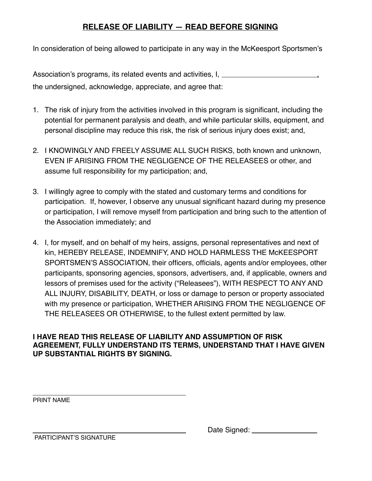## **RELEASE OF LIABILITY — READ BEFORE SIGNING**

In consideration of being allowed to participate in any way in the McKeesport Sportsmen's

Association's programs, its related events and activities, I, the undersigned, acknowledge, appreciate, and agree that:

- 1. The risk of injury from the activities involved in this program is significant, including the potential for permanent paralysis and death, and while particular skills, equipment, and personal discipline may reduce this risk, the risk of serious injury does exist; and,
- 2. I KNOWINGLY AND FREELY ASSUME ALL SUCH RISKS, both known and unknown, EVEN IF ARISING FROM THE NEGLIGENCE OF THE RELEASEES or other, and assume full responsibility for my participation; and,
- 3. I willingly agree to comply with the stated and customary terms and conditions for participation. If, however, I observe any unusual significant hazard during my presence or participation, I will remove myself from participation and bring such to the attention of the Association immediately; and
- 4. I, for myself, and on behalf of my heirs, assigns, personal representatives and next of kin, HEREBY RELEASE, INDEMNIFY, AND HOLD HARMLESS THE McKEESPORT SPORTSMEN'S ASSOCIATION, their officers, officials, agents and/or employees, other participants, sponsoring agencies, sponsors, advertisers, and, if applicable, owners and lessors of premises used for the activity ("Releasees"), WITH RESPECT TO ANY AND ALL INJURY, DISABILITY, DEATH, or loss or damage to person or property associated with my presence or participation, WHETHER ARISING FROM THE NEGLIGENCE OF THE RELEASEES OR OTHERWISE, to the fullest extent permitted by law.

## **I HAVE READ THIS RELEASE OF LIABILITY AND ASSUMPTION OF RISK AGREEMENT, FULLY UNDERSTAND ITS TERMS, UNDERSTAND THAT I HAVE GIVEN UP SUBSTANTIAL RIGHTS BY SIGNING.**

PRINT NAME

| Date Signed: |  |
|--------------|--|
|              |  |

PARTICIPANT'S SIGNATURE